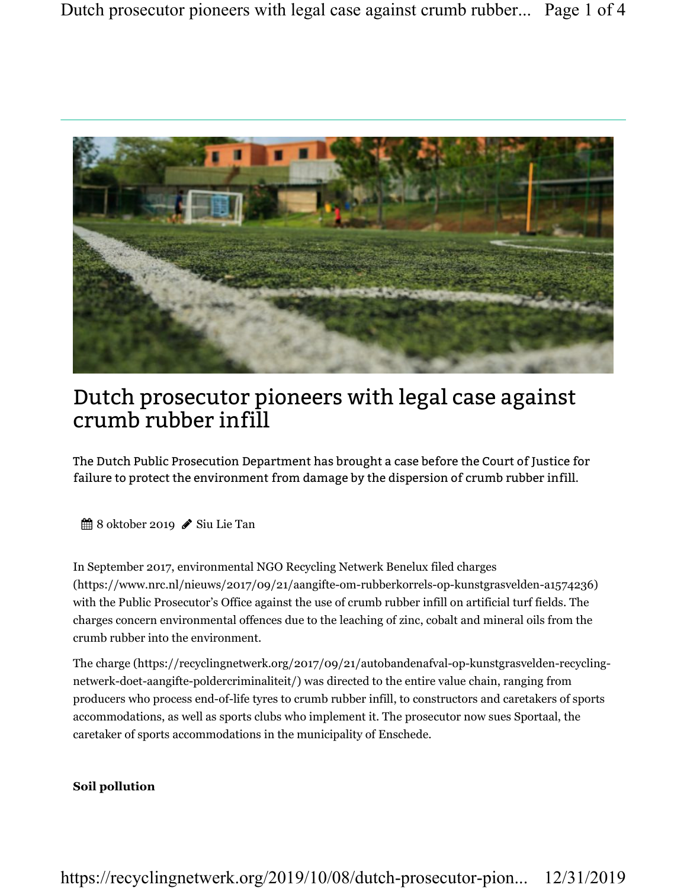Dutch prosecutor pioneers with legal case against crumb rubber... Page 1 of 4



## Dutch prosecutor pioneers with legal case against crumb rubber infill

The Dutch Public Prosecution Department has brought a case before the Court of Justice for failure to protect the environment from damage by the dispersion of crumb rubber infill.

 $\hat{H}$ 8 oktober 2019 / Siu Lie Tan

In September 2017, environmental NGO Recycling Netwerk Benelux filed charges (https://www.nrc.nl/nieuws/2017/09/21/aangifte-om-rubberkorrels-op-kunstgrasvelden-a1574236) with the Public Prosecutor's Office against the use of crumb rubber infill on artificial turf fields. The charges concern environmental offences due to the leaching of zinc, cobalt and mineral oils from the crumb rubber into the environment.

The charge (https://recyclingnetwerk.org/2017/09/21/autobandenafval-op-kunstgrasvelden-recyclingnetwerk-doet-aangifte-poldercriminaliteit/) was directed to the entire value chain, ranging from producers who process end-of-life tyres to crumb rubber infill, to constructors and caretakers of sports accommodations, as well as sports clubs who implement it. The prosecutor now sues Sportaal, the caretaker of sports accommodations in the municipality of Enschede.

### Soil pollution

https://recyclingnetwerk.org/2019/10/08/dutch-prosecutor-pion... 12/31/2019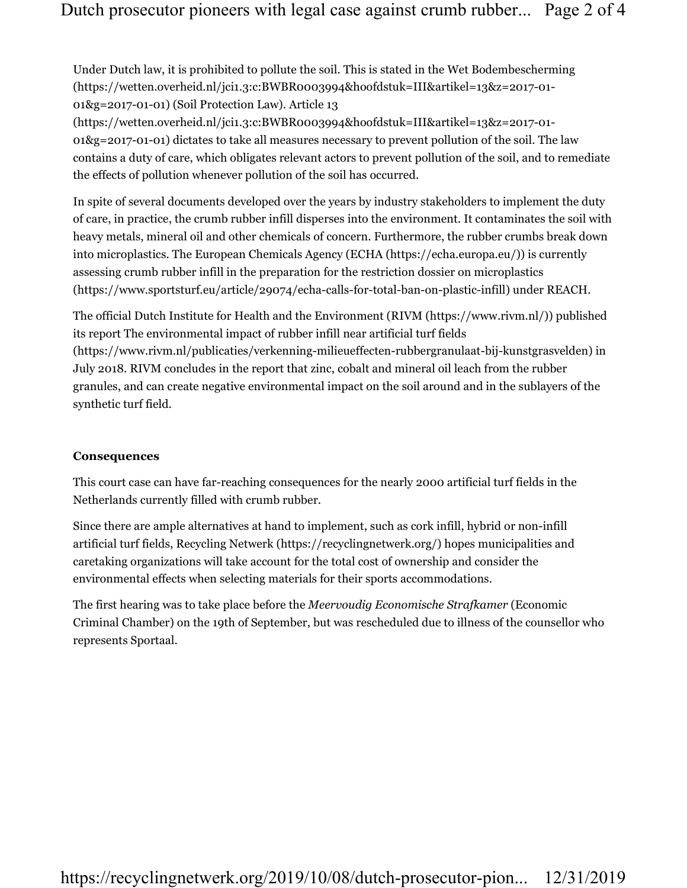Under Dutch law, it is prohibited to pollute the soil. This is stated in the Wet Bodembescherming (https://wetten.overheid.nl/jci1.3:c:BWBR0003994&hoofdstuk=III&artikel=13&z=2017-01- 01&g=2017-01-01) (Soil Protection Law). Article 13

(https://wetten.overheid.nl/jci1.3:c:BWBR0003994&hoofdstuk=III&artikel=13&z=2017-01- 01&g=2017-01-01) dictates to take all measures necessary to prevent pollution of the soil. The law contains a duty of care, which obligates relevant actors to prevent pollution of the soil, and to remediate the effects of pollution whenever pollution of the soil has occurred.

In spite of several documents developed over the years by industry stakeholders to implement the duty of care, in practice, the crumb rubber infill disperses into the environment. It contaminates the soil with heavy metals, mineral oil and other chemicals of concern. Furthermore, the rubber crumbs break down into microplastics. The European Chemicals Agency (ECHA (https://echa.europa.eu/)) is currently assessing crumb rubber infill in the preparation for the restriction dossier on microplastics (https://www.sportsturf.eu/article/29074/echa-calls-for-total-ban-on-plastic-infill) under REACH.

The official Dutch Institute for Health and the Environment (RIVM (https://www.rivm.nl/)) published its report The environmental impact of rubber infill near artificial turf fields (https://www.rivm.nl/publicaties/verkenning-milieueffecten-rubbergranulaat-bij-kunstgrasvelden) in July 2018. RIVM concludes in the report that zinc, cobalt and mineral oil leach from the rubber granules, and can create negative environmental impact on the soil around and in the sublayers of the synthetic turf field.

#### **Consequences**

This court case can have far-reaching consequences for the nearly 2000 artificial turf fields in the Netherlands currently filled with crumb rubber.

Since there are ample alternatives at hand to implement, such as cork infill, hybrid or non-infill artificial turf fields, Recycling Netwerk (https://recyclingnetwerk.org/) hopes municipalities and caretaking organizations will take account for the total cost of ownership and consider the environmental effects when selecting materials for their sports accommodations.

The first hearing was to take place before the Meervoudig Economische Strafkamer (Economic Criminal Chamber) on the 19th of September, but was rescheduled due to illness of the counsellor who represents Sportaal.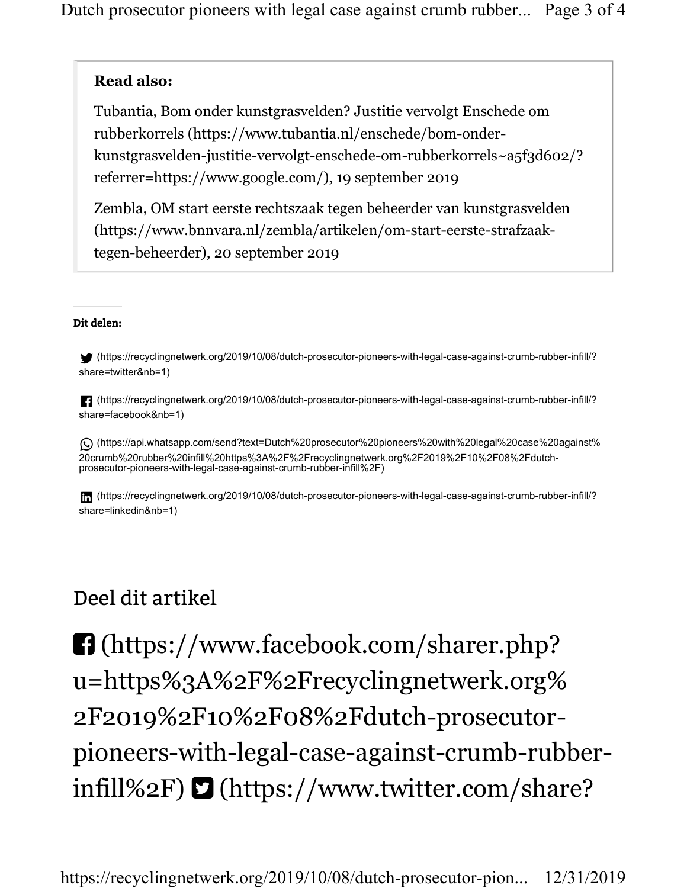## Read also:

Tubantia, Bom onder kunstgrasvelden? Justitie vervolgt Enschede om rubberkorrels (https://www.tubantia.nl/enschede/bom-onderkunstgrasvelden-justitie-vervolgt-enschede-om-rubberkorrels~a5f3d602/? referrer=https://www.google.com/), 19 september 2019

Zembla, OM start eerste rechtszaak tegen beheerder van kunstgrasvelden (https://www.bnnvara.nl/zembla/artikelen/om-start-eerste-strafzaaktegen-beheerder), 20 september 2019

## Dit delen:

 (https://recyclingnetwerk.org/2019/10/08/dutch-prosecutor-pioneers-with-legal-case-against-crumb-rubber-infill/? share=twitter&nb=1)

 (https://recyclingnetwerk.org/2019/10/08/dutch-prosecutor-pioneers-with-legal-case-against-crumb-rubber-infill/? share=facebook&nb=1)

 (https://api.whatsapp.com/send?text=Dutch%20prosecutor%20pioneers%20with%20legal%20case%20against% 20crumb%20rubber%20infill%20https%3A%2F%2Frecyclingnetwerk.org%2F2019%2F10%2F08%2Fdutchprosecutor-pioneers-with-legal-case-against-crumb-rubber-infill%2F)

 (https://recyclingnetwerk.org/2019/10/08/dutch-prosecutor-pioneers-with-legal-case-against-crumb-rubber-infill/? share=linkedin&nb=1)

# Deel dit artikel

 (https://www.facebook.com/sharer.php? u=https%3A%2F%2Frecyclingnetwerk.org% 2F2019%2F10%2F08%2Fdutch-prosecutorpioneers-with-legal-case-against-crumb-rubberinfill%2F) (https://www.twitter.com/share?